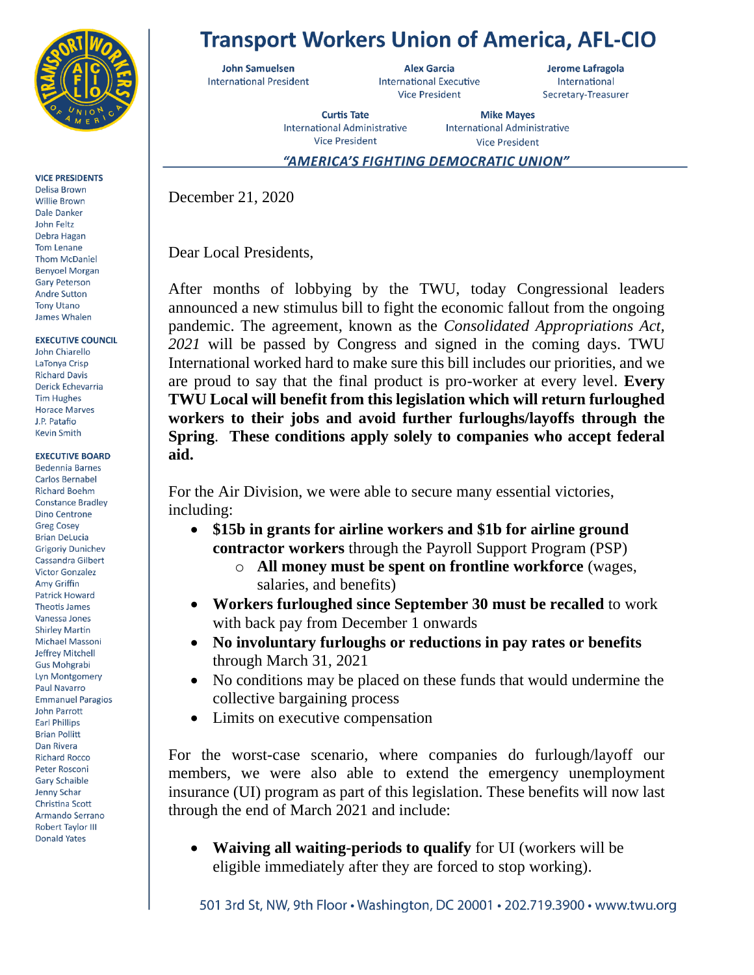

**VICE PRESIDENTS** 

Delisa Brown Willie Brown Dale Danker John Feltz Debra Hagan Tom Lenane **Thom McDaniel Benyoel Morgan Gary Peterson Andre Sutton Tony Utano** James Whalen

**EXECUTIVE COUNCIL** 

John Chiarello LaTonya Crisp **Richard Davis** Derick Echevarria **Tim Hughes Horace Marves I** P Patafio **Kevin Smith** 

**EXECUTIVE BOARD Bedennia Barnes** Carlos Bernabel **Richard Boehm Constance Bradley Dino Centrone Greg Cosey Brian DeLucia Grigoriy Dunichev** Cassandra Gilbert **Victor Gonzalez** Amy Griffin **Patrick Howard Theotis James** Vanessa Jones **Shirley Martin** Michael Massoni Jeffrey Mitchell **Gus Mohgrabi Lyn Montgomery** Paul Navarro **Emmanuel Paragios John Parrott Earl Phillips Brian Pollitt** Dan Rivera **Richard Rocco** Peter Rosconi **Gary Schaible** Jenny Schar Christina Scott Armando Serrano **Robert Taylor III Donald Yates** 

## **Transport Workers Union of America, AFL-CIO**

**John Samuelsen International President** 

**Alex Garcia International Executive Vice President** 

Jerome Lafragola International Secretary-Treasurer

**Curtis Tate International Administrative Vice President** 

**Mike Mayes International Administrative Vice President** 

"AMERICA'S FIGHTING DEMOCRATIC UNION"

December 21, 2020

Dear Local Presidents,

After months of lobbying by the TWU, today Congressional leaders announced a new stimulus bill to fight the economic fallout from the ongoing pandemic. The agreement, known as the *Consolidated Appropriations Act, 2021* will be passed by Congress and signed in the coming days. TWU International worked hard to make sure this bill includes our priorities, and we are proud to say that the final product is pro-worker at every level. **Every TWU Local will benefit from this legislation which will return furloughed workers to their jobs and avoid further furloughs/layoffs through the Spring**. **These conditions apply solely to companies who accept federal aid.**

For the Air Division, we were able to secure many essential victories, including:

- **\$15b in grants for airline workers and \$1b for airline ground contractor workers** through the Payroll Support Program (PSP)
	- o **All money must be spent on frontline workforce** (wages, salaries, and benefits)
- **Workers furloughed since September 30 must be recalled** to work with back pay from December 1 onwards
- **No involuntary furloughs or reductions in pay rates or benefits** through March 31, 2021
- No conditions may be placed on these funds that would undermine the collective bargaining process
- Limits on executive compensation

For the worst-case scenario, where companies do furlough/layoff our members, we were also able to extend the emergency unemployment insurance (UI) program as part of this legislation. These benefits will now last through the end of March 2021 and include:

• **Waiving all waiting-periods to qualify** for UI (workers will be eligible immediately after they are forced to stop working).